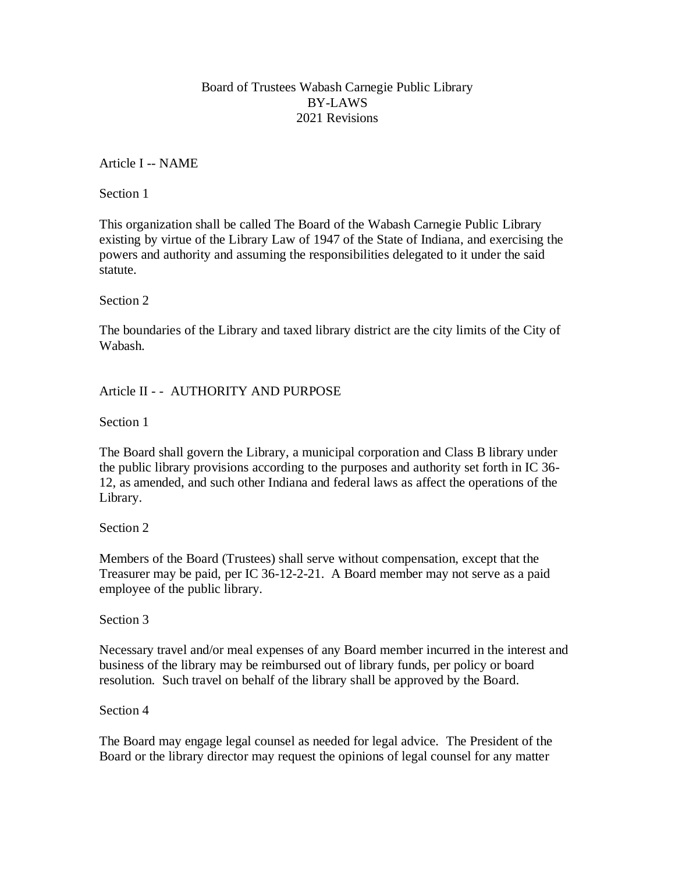## Board of Trustees Wabash Carnegie Public Library BY-LAWS 2021 Revisions

Article I -- NAME

Section 1

This organization shall be called The Board of the Wabash Carnegie Public Library existing by virtue of the Library Law of 1947 of the State of Indiana, and exercising the powers and authority and assuming the responsibilities delegated to it under the said statute.

Section 2

The boundaries of the Library and taxed library district are the city limits of the City of Wabash.

Article II - - AUTHORITY AND PURPOSE

Section 1

The Board shall govern the Library, a municipal corporation and Class B library under the public library provisions according to the purposes and authority set forth in IC 36- 12, as amended, and such other Indiana and federal laws as affect the operations of the Library.

Section 2

Members of the Board (Trustees) shall serve without compensation, except that the Treasurer may be paid, per IC 36-12-2-21. A Board member may not serve as a paid employee of the public library.

Section 3

Necessary travel and/or meal expenses of any Board member incurred in the interest and business of the library may be reimbursed out of library funds, per policy or board resolution. Such travel on behalf of the library shall be approved by the Board.

Section 4

The Board may engage legal counsel as needed for legal advice. The President of the Board or the library director may request the opinions of legal counsel for any matter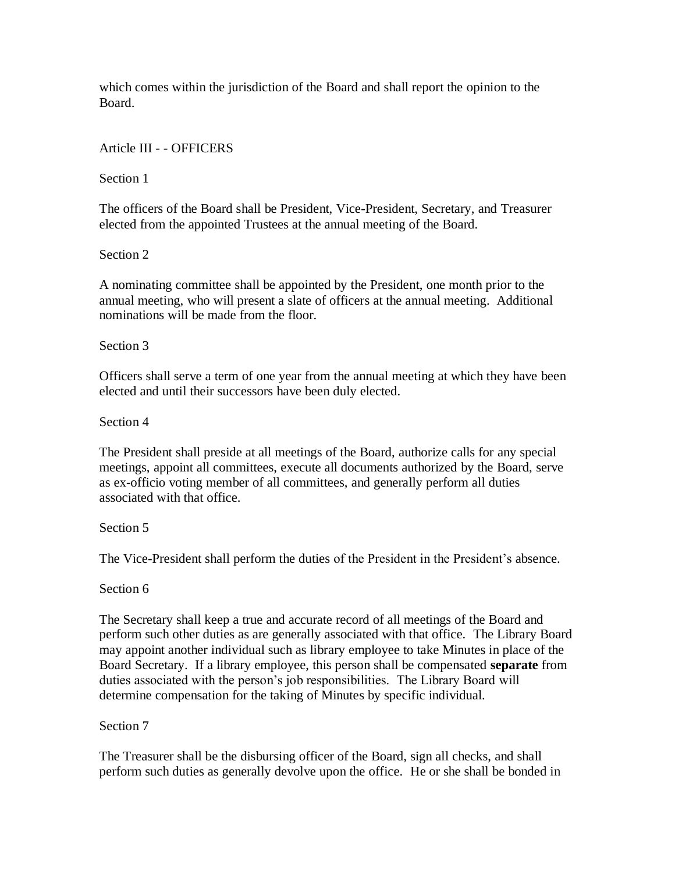which comes within the jurisdiction of the Board and shall report the opinion to the Board.

Article III - - OFFICERS

Section 1

The officers of the Board shall be President, Vice-President, Secretary, and Treasurer elected from the appointed Trustees at the annual meeting of the Board.

Section 2

A nominating committee shall be appointed by the President, one month prior to the annual meeting, who will present a slate of officers at the annual meeting. Additional nominations will be made from the floor.

## Section 3

Officers shall serve a term of one year from the annual meeting at which they have been elected and until their successors have been duly elected.

Section 4

The President shall preside at all meetings of the Board, authorize calls for any special meetings, appoint all committees, execute all documents authorized by the Board, serve as ex-officio voting member of all committees, and generally perform all duties associated with that office.

Section 5

The Vice-President shall perform the duties of the President in the President's absence.

Section 6

The Secretary shall keep a true and accurate record of all meetings of the Board and perform such other duties as are generally associated with that office. The Library Board may appoint another individual such as library employee to take Minutes in place of the Board Secretary. If a library employee, this person shall be compensated **separate** from duties associated with the person's job responsibilities. The Library Board will determine compensation for the taking of Minutes by specific individual.

# Section 7

The Treasurer shall be the disbursing officer of the Board, sign all checks, and shall perform such duties as generally devolve upon the office. He or she shall be bonded in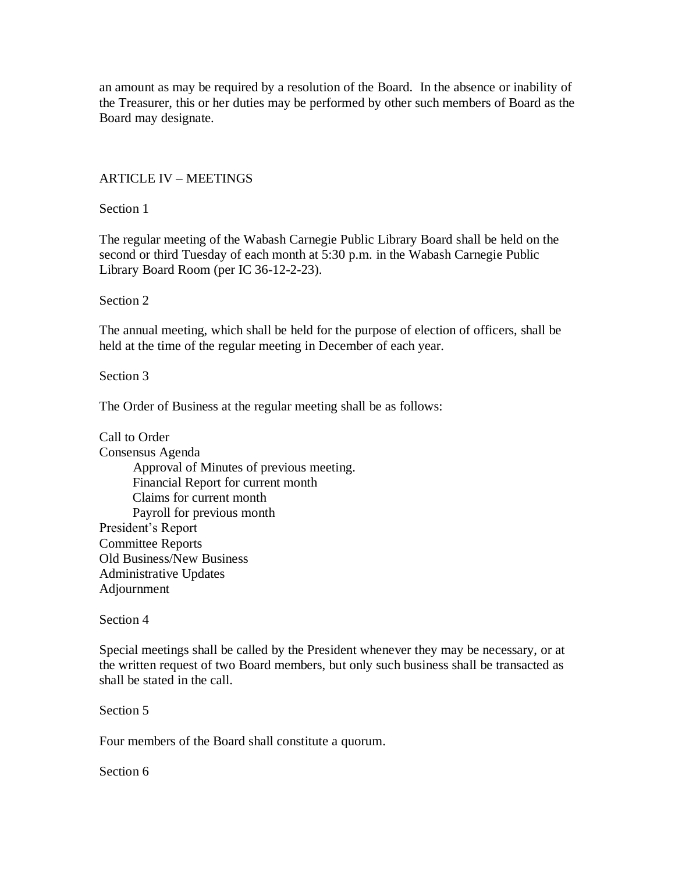an amount as may be required by a resolution of the Board. In the absence or inability of the Treasurer, this or her duties may be performed by other such members of Board as the Board may designate.

## ARTICLE IV – MEETINGS

### Section 1

The regular meeting of the Wabash Carnegie Public Library Board shall be held on the second or third Tuesday of each month at 5:30 p.m. in the Wabash Carnegie Public Library Board Room (per IC 36-12-2-23).

#### Section 2

The annual meeting, which shall be held for the purpose of election of officers, shall be held at the time of the regular meeting in December of each year.

Section 3

The Order of Business at the regular meeting shall be as follows:

Call to Order Consensus Agenda Approval of Minutes of previous meeting. Financial Report for current month Claims for current month Payroll for previous month President's Report Committee Reports Old Business/New Business Administrative Updates Adjournment

#### Section 4

Special meetings shall be called by the President whenever they may be necessary, or at the written request of two Board members, but only such business shall be transacted as shall be stated in the call.

Section 5

Four members of the Board shall constitute a quorum.

Section 6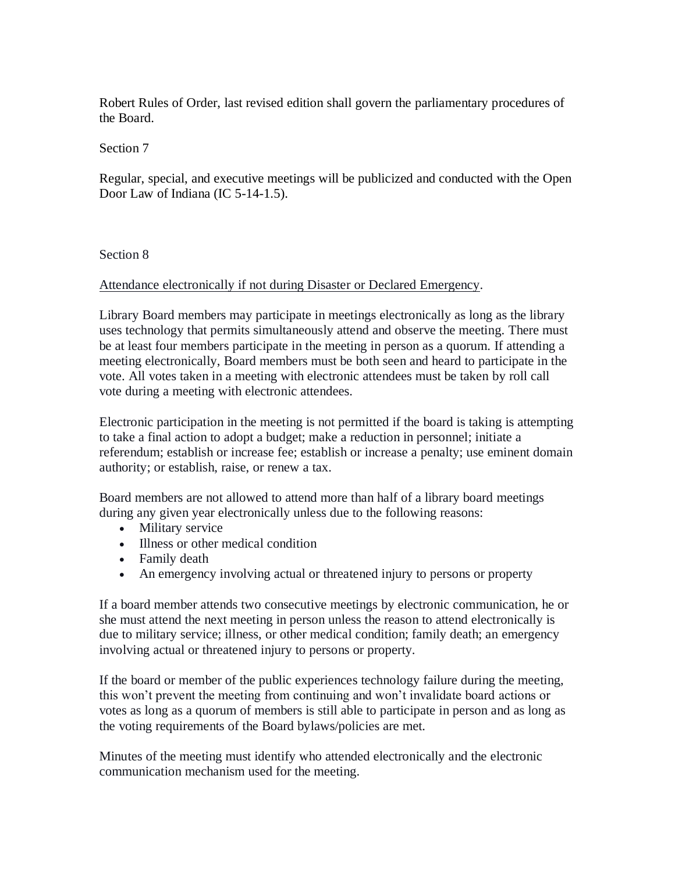Robert Rules of Order, last revised edition shall govern the parliamentary procedures of the Board.

## Section 7

Regular, special, and executive meetings will be publicized and conducted with the Open Door Law of Indiana (IC 5-14-1.5).

## Section 8

Attendance electronically if not during Disaster or Declared Emergency.

Library Board members may participate in meetings electronically as long as the library uses technology that permits simultaneously attend and observe the meeting. There must be at least four members participate in the meeting in person as a quorum. If attending a meeting electronically, Board members must be both seen and heard to participate in the vote. All votes taken in a meeting with electronic attendees must be taken by roll call vote during a meeting with electronic attendees.

Electronic participation in the meeting is not permitted if the board is taking is attempting to take a final action to adopt a budget; make a reduction in personnel; initiate a referendum; establish or increase fee; establish or increase a penalty; use eminent domain authority; or establish, raise, or renew a tax.

Board members are not allowed to attend more than half of a library board meetings during any given year electronically unless due to the following reasons:

- Military service
- Illness or other medical condition
- Family death
- An emergency involving actual or threatened injury to persons or property

If a board member attends two consecutive meetings by electronic communication, he or she must attend the next meeting in person unless the reason to attend electronically is due to military service; illness, or other medical condition; family death; an emergency involving actual or threatened injury to persons or property.

If the board or member of the public experiences technology failure during the meeting, this won't prevent the meeting from continuing and won't invalidate board actions or votes as long as a quorum of members is still able to participate in person and as long as the voting requirements of the Board bylaws/policies are met.

Minutes of the meeting must identify who attended electronically and the electronic communication mechanism used for the meeting.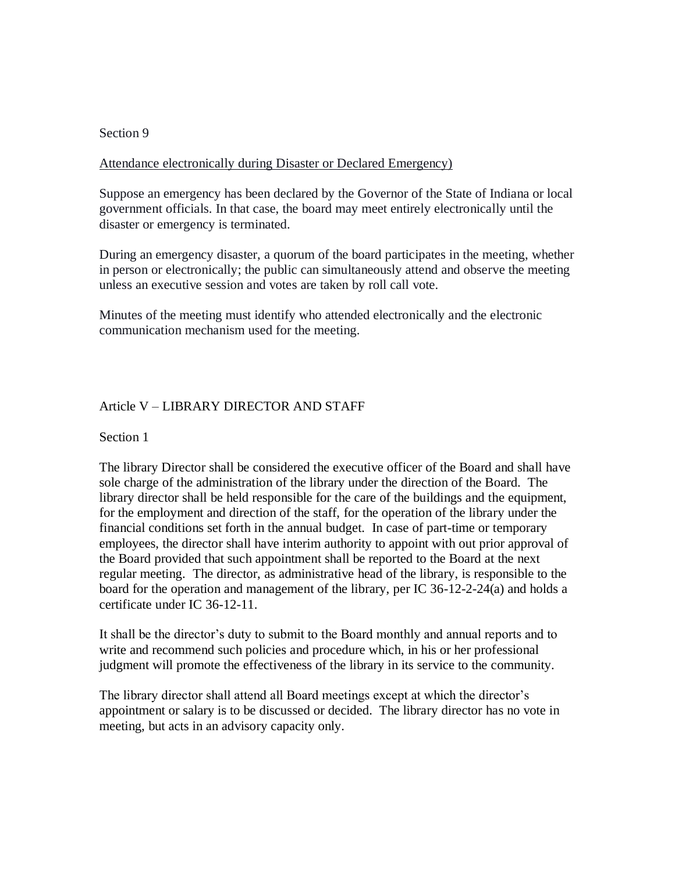### Section 9

### Attendance electronically during Disaster or Declared Emergency)

Suppose an emergency has been declared by the Governor of the State of Indiana or local government officials. In that case, the board may meet entirely electronically until the disaster or emergency is terminated.

During an emergency disaster, a quorum of the board participates in the meeting, whether in person or electronically; the public can simultaneously attend and observe the meeting unless an executive session and votes are taken by roll call vote.

Minutes of the meeting must identify who attended electronically and the electronic communication mechanism used for the meeting.

### Article V – LIBRARY DIRECTOR AND STAFF

#### Section 1

The library Director shall be considered the executive officer of the Board and shall have sole charge of the administration of the library under the direction of the Board. The library director shall be held responsible for the care of the buildings and the equipment, for the employment and direction of the staff, for the operation of the library under the financial conditions set forth in the annual budget. In case of part-time or temporary employees, the director shall have interim authority to appoint with out prior approval of the Board provided that such appointment shall be reported to the Board at the next regular meeting. The director, as administrative head of the library, is responsible to the board for the operation and management of the library, per IC 36-12-2-24(a) and holds a certificate under IC 36-12-11.

It shall be the director's duty to submit to the Board monthly and annual reports and to write and recommend such policies and procedure which, in his or her professional judgment will promote the effectiveness of the library in its service to the community.

The library director shall attend all Board meetings except at which the director's appointment or salary is to be discussed or decided. The library director has no vote in meeting, but acts in an advisory capacity only.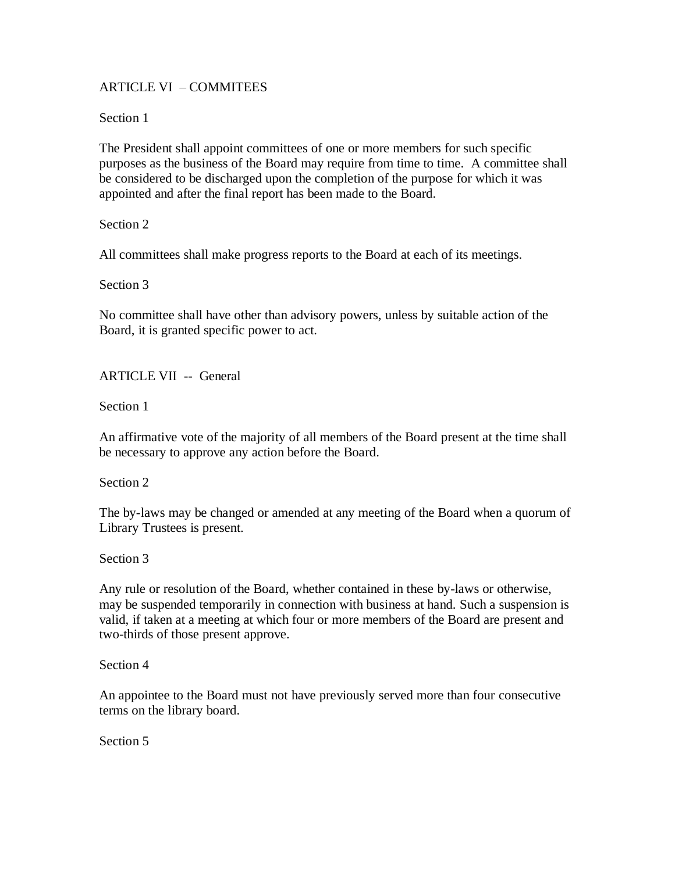# ARTICLE VI – COMMITEES

## Section 1

The President shall appoint committees of one or more members for such specific purposes as the business of the Board may require from time to time. A committee shall be considered to be discharged upon the completion of the purpose for which it was appointed and after the final report has been made to the Board.

Section 2

All committees shall make progress reports to the Board at each of its meetings.

Section 3

No committee shall have other than advisory powers, unless by suitable action of the Board, it is granted specific power to act.

ARTICLE VII -- General

Section 1

An affirmative vote of the majority of all members of the Board present at the time shall be necessary to approve any action before the Board.

Section 2

The by-laws may be changed or amended at any meeting of the Board when a quorum of Library Trustees is present.

Section 3

Any rule or resolution of the Board, whether contained in these by-laws or otherwise, may be suspended temporarily in connection with business at hand. Such a suspension is valid, if taken at a meeting at which four or more members of the Board are present and two-thirds of those present approve.

Section 4

An appointee to the Board must not have previously served more than four consecutive terms on the library board.

Section 5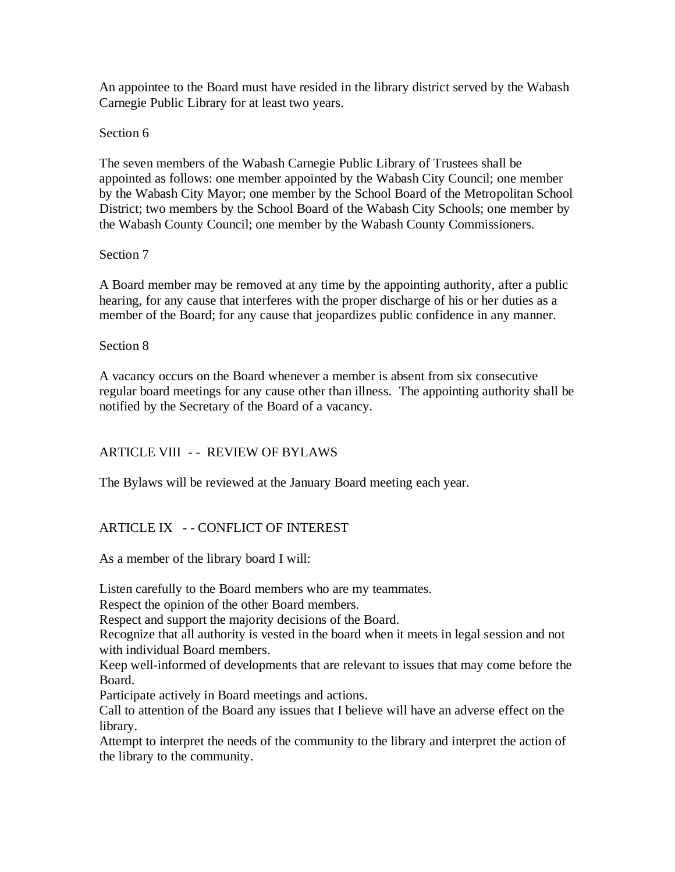An appointee to the Board must have resided in the library district served by the Wabash Carnegie Public Library for at least two years.

## Section 6

The seven members of the Wabash Carnegie Public Library of Trustees shall be appointed as follows: one member appointed by the Wabash City Council; one member by the Wabash City Mayor; one member by the School Board of the Metropolitan School District; two members by the School Board of the Wabash City Schools; one member by the Wabash County Council; one member by the Wabash County Commissioners.

## Section 7

A Board member may be removed at any time by the appointing authority, after a public hearing, for any cause that interferes with the proper discharge of his or her duties as a member of the Board; for any cause that jeopardizes public confidence in any manner.

## Section 8

A vacancy occurs on the Board whenever a member is absent from six consecutive regular board meetings for any cause other than illness. The appointing authority shall be notified by the Secretary of the Board of a vacancy.

# ARTICLE VIII - - REVIEW OF BYLAWS

The Bylaws will be reviewed at the January Board meeting each year.

# ARTICLE IX - - CONFLICT OF INTEREST

As a member of the library board I will:

Listen carefully to the Board members who are my teammates.

Respect the opinion of the other Board members.

Respect and support the majority decisions of the Board.

Recognize that all authority is vested in the board when it meets in legal session and not with individual Board members.

Keep well-informed of developments that are relevant to issues that may come before the Board.

Participate actively in Board meetings and actions.

Call to attention of the Board any issues that I believe will have an adverse effect on the library.

Attempt to interpret the needs of the community to the library and interpret the action of the library to the community.